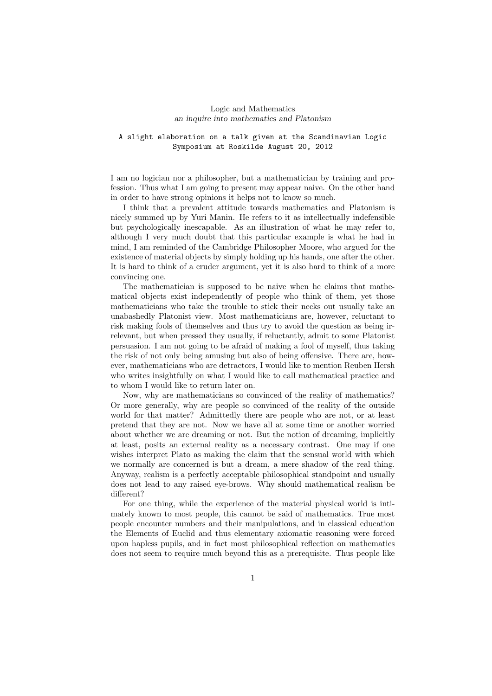## Logic and Mathematics an inquire into mathematics and Platonism

## A slight elaboration on a talk given at the Scandinavian Logic Symposium at Roskilde August 20, 2012

I am no logician nor a philosopher, but a mathematician by training and profession. Thus what I am going to present may appear naive. On the other hand in order to have strong opinions it helps not to know so much.

I think that a prevalent attitude towards mathematics and Platonism is nicely summed up by Yuri Manin. He refers to it as intellectually indefensible but psychologically inescapable. As an illustration of what he may refer to, although I very much doubt that this particular example is what he had in mind, I am reminded of the Cambridge Philosopher Moore, who argued for the existence of material objects by simply holding up his hands, one after the other. It is hard to think of a cruder argument, yet it is also hard to think of a more convincing one.

The mathematician is supposed to be naive when he claims that mathematical objects exist independently of people who think of them, yet those mathematicians who take the trouble to stick their necks out usually take an unabashedly Platonist view. Most mathematicians are, however, reluctant to risk making fools of themselves and thus try to avoid the question as being irrelevant, but when pressed they usually, if reluctantly, admit to some Platonist persuasion. I am not going to be afraid of making a fool of myself, thus taking the risk of not only being amusing but also of being offensive. There are, however, mathematicians who are detractors, I would like to mention Reuben Hersh who writes insightfully on what I would like to call mathematical practice and to whom I would like to return later on.

Now, why are mathematicians so convinced of the reality of mathematics? Or more generally, why are people so convinced of the reality of the outside world for that matter? Admittedly there are people who are not, or at least pretend that they are not. Now we have all at some time or another worried about whether we are dreaming or not. But the notion of dreaming, implicitly at least, posits an external reality as a necessary contrast. One may if one wishes interpret Plato as making the claim that the sensual world with which we normally are concerned is but a dream, a mere shadow of the real thing. Anyway, realism is a perfectly acceptable philosophical standpoint and usually does not lead to any raised eye-brows. Why should mathematical realism be different?

For one thing, while the experience of the material physical world is intimately known to most people, this cannot be said of mathematics. True most people encounter numbers and their manipulations, and in classical education the Elements of Euclid and thus elementary axiomatic reasoning were forced upon hapless pupils, and in fact most philosophical reflection on mathematics does not seem to require much beyond this as a prerequisite. Thus people like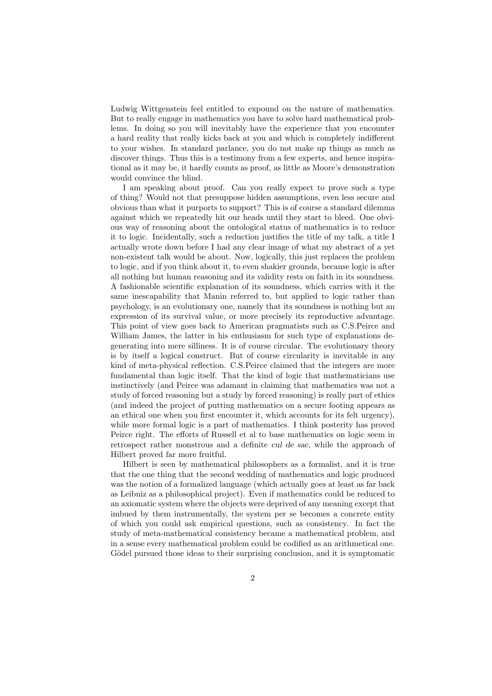Ludwig Wittgenstein feel entitled to expound on the nature of mathematics. But to really engage in mathematics you have to solve hard mathematical problems. In doing so you will inevitably have the experience that you encounter a hard reality that really kicks back at you and which is completely indifferent to your wishes. In standard parlance, you do not make up things as much as discover things. Thus this is a testimony from a few experts, and hence inspirational as it may be, it hardly counts as proof, as little as Moore's demonstration would convince the blind.

I am speaking about proof. Can you really expect to prove such a type of thing? Would not that presuppose hidden assumptions, even less secure and obvious than what it purports to support? This is of course a standard dilemma against which we repeatedly hit our heads until they start to bleed. One obvious way of reasoning about the ontological status of mathematics is to reduce it to logic. Incidentally, such a reduction justifies the title of my talk, a title I actually wrote down before I had any clear image of what my abstract of a yet non-existent talk would be about. Now, logically, this just replaces the problem to logic, and if you think about it, to even shakier grounds, because logic is after all nothing but human reasoning and its validity rests on faith in its soundness. A fashionable scientific explanation of its soundness, which carries with it the same inescapability that Manin referred to, but applied to logic rather than psychology, is an evolutionary one, namely that its soundness is nothing but an expression of its survival value, or more precisely its reproductive advantage. This point of view goes back to American pragmatists such as C.S.Peirce and William James, the latter in his enthusiasm for such type of explanations degenerating into mere silliness. It is of course circular. The evolutionary theory is by itself a logical construct. But of course circularity is inevitable in any kind of meta-physical reflection. C.S.Peirce claimed that the integers are more fundamental than logic itself. That the kind of logic that mathematicians use instinctively (and Peirce was adamant in claiming that mathematics was not a study of forced reasoning but a study by forced reasoning) is really part of ethics (and indeed the project of putting mathematics on a secure footing appears as an ethical one when you first encounter it, which accounts for its felt urgency), while more formal logic is a part of mathematics. I think posterity has proved Peirce right. The efforts of Russell et al to base mathematics on logic seem in retrospect rather monstrous and a definite cul de sac, while the approach of Hilbert proved far more fruitful.

Hilbert is seen by mathematical philosophers as a formalist, and it is true that the one thing that the second wedding of mathematics and logic produced was the notion of a formalized language (which actually goes at least as far back as Leibniz as a philosophical project). Even if mathematics could be reduced to an axiomatic system where the objects were deprived of any meaning except that imbued by them instrumentally, the system per se becomes a concrete entity of which you could ask empirical questions, such as consistency. In fact the study of meta-mathematical consistency became a mathematical problem, and in a sense every mathematical problem could be codified as an arithmetical one. Gödel pursued those ideas to their surprising conclusion, and it is symptomatic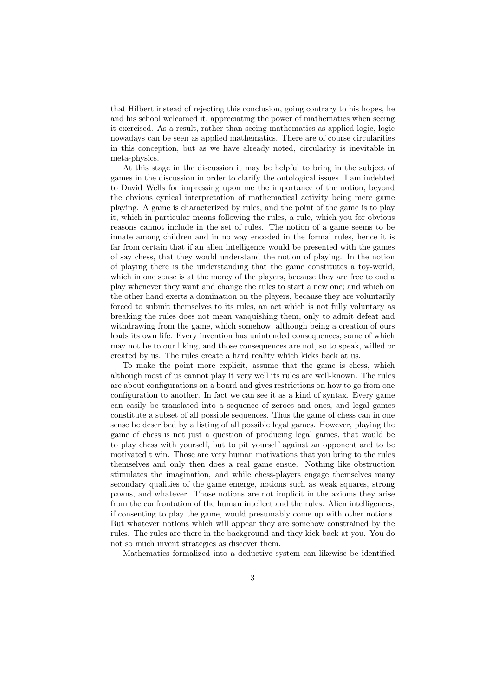that Hilbert instead of rejecting this conclusion, going contrary to his hopes, he and his school welcomed it, appreciating the power of mathematics when seeing it exercised. As a result, rather than seeing mathematics as applied logic, logic nowadays can be seen as applied mathematics. There are of course circularities in this conception, but as we have already noted, circularity is inevitable in meta-physics.

At this stage in the discussion it may be helpful to bring in the subject of games in the discussion in order to clarify the ontological issues. I am indebted to David Wells for impressing upon me the importance of the notion, beyond the obvious cynical interpretation of mathematical activity being mere game playing. A game is characterized by rules, and the point of the game is to play it, which in particular means following the rules, a rule, which you for obvious reasons cannot include in the set of rules. The notion of a game seems to be innate among children and in no way encoded in the formal rules, hence it is far from certain that if an alien intelligence would be presented with the games of say chess, that they would understand the notion of playing. In the notion of playing there is the understanding that the game constitutes a toy-world, which in one sense is at the mercy of the players, because they are free to end a play whenever they want and change the rules to start a new one; and which on the other hand exerts a domination on the players, because they are voluntarily forced to submit themselves to its rules, an act which is not fully voluntary as breaking the rules does not mean vanquishing them, only to admit defeat and withdrawing from the game, which somehow, although being a creation of ours leads its own life. Every invention has unintended consequences, some of which may not be to our liking, and those consequences are not, so to speak, willed or created by us. The rules create a hard reality which kicks back at us.

To make the point more explicit, assume that the game is chess, which although most of us cannot play it very well its rules are well-known. The rules are about configurations on a board and gives restrictions on how to go from one configuration to another. In fact we can see it as a kind of syntax. Every game can easily be translated into a sequence of zeroes and ones, and legal games constitute a subset of all possible sequences. Thus the game of chess can in one sense be described by a listing of all possible legal games. However, playing the game of chess is not just a question of producing legal games, that would be to play chess with yourself, but to pit yourself against an opponent and to be motivated t win. Those are very human motivations that you bring to the rules themselves and only then does a real game ensue. Nothing like obstruction stimulates the imagination, and while chess-players engage themselves many secondary qualities of the game emerge, notions such as weak squares, strong pawns, and whatever. Those notions are not implicit in the axioms they arise from the confrontation of the human intellect and the rules. Alien intelligences, if consenting to play the game, would presumably come up with other notions. But whatever notions which will appear they are somehow constrained by the rules. The rules are there in the background and they kick back at you. You do not so much invent strategies as discover them.

Mathematics formalized into a deductive system can likewise be identified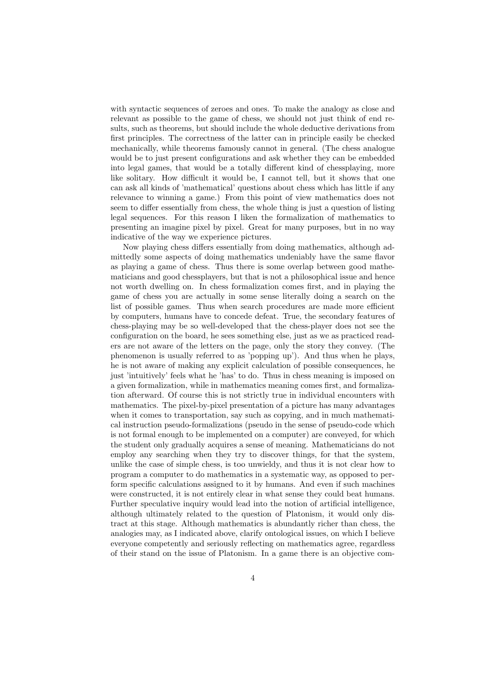with syntactic sequences of zeroes and ones. To make the analogy as close and relevant as possible to the game of chess, we should not just think of end results, such as theorems, but should include the whole deductive derivations from first principles. The correctness of the latter can in principle easily be checked mechanically, while theorems famously cannot in general. (The chess analogue would be to just present configurations and ask whether they can be embedded into legal games, that would be a totally different kind of chessplaying, more like solitary. How difficult it would be, I cannot tell, but it shows that one can ask all kinds of 'mathematical' questions about chess which has little if any relevance to winning a game.) From this point of view mathematics does not seem to differ essentially from chess, the whole thing is just a question of listing legal sequences. For this reason I liken the formalization of mathematics to presenting an imagine pixel by pixel. Great for many purposes, but in no way indicative of the way we experience pictures.

Now playing chess differs essentially from doing mathematics, although admittedly some aspects of doing mathematics undeniably have the same flavor as playing a game of chess. Thus there is some overlap between good mathematicians and good chessplayers, but that is not a philosophical issue and hence not worth dwelling on. In chess formalization comes first, and in playing the game of chess you are actually in some sense literally doing a search on the list of possible games. Thus when search procedures are made more efficient by computers, humans have to concede defeat. True, the secondary features of chess-playing may be so well-developed that the chess-player does not see the configuration on the board, he sees something else, just as we as practiced readers are not aware of the letters on the page, only the story they convey. (The phenomenon is usually referred to as 'popping up'). And thus when he plays, he is not aware of making any explicit calculation of possible consequences, he just 'intuitively' feels what he 'has' to do. Thus in chess meaning is imposed on a given formalization, while in mathematics meaning comes first, and formalization afterward. Of course this is not strictly true in individual encounters with mathematics. The pixel-by-pixel presentation of a picture has many advantages when it comes to transportation, say such as copying, and in much mathematical instruction pseudo-formalizations (pseudo in the sense of pseudo-code which is not formal enough to be implemented on a computer) are conveyed, for which the student only gradually acquires a sense of meaning. Mathematicians do not employ any searching when they try to discover things, for that the system, unlike the case of simple chess, is too unwieldy, and thus it is not clear how to program a computer to do mathematics in a systematic way, as opposed to perform specific calculations assigned to it by humans. And even if such machines were constructed, it is not entirely clear in what sense they could beat humans. Further speculative inquiry would lead into the notion of artificial intelligence, although ultimately related to the question of Platonism, it would only distract at this stage. Although mathematics is abundantly richer than chess, the analogies may, as I indicated above, clarify ontological issues, on which I believe everyone competently and seriously reflecting on mathematics agree, regardless of their stand on the issue of Platonism. In a game there is an objective com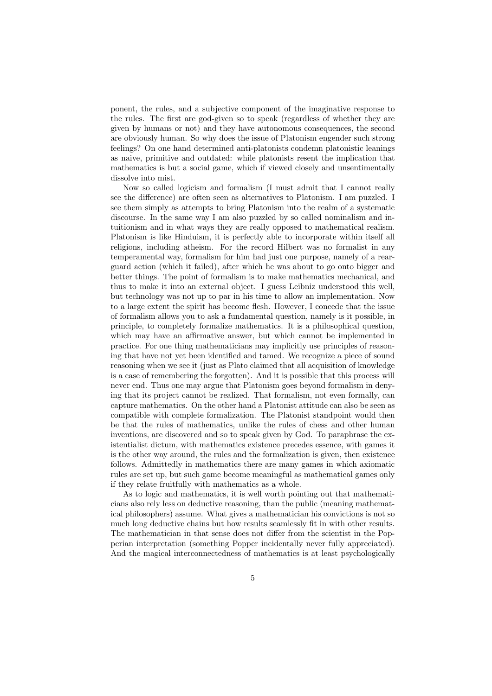ponent, the rules, and a subjective component of the imaginative response to the rules. The first are god-given so to speak (regardless of whether they are given by humans or not) and they have autonomous consequences, the second are obviously human. So why does the issue of Platonism engender such strong feelings? On one hand determined anti-platonists condemn platonistic leanings as naive, primitive and outdated: while platonists resent the implication that mathematics is but a social game, which if viewed closely and unsentimentally dissolve into mist.

Now so called logicism and formalism (I must admit that I cannot really see the difference) are often seen as alternatives to Platonism. I am puzzled. I see them simply as attempts to bring Platonism into the realm of a systematic discourse. In the same way I am also puzzled by so called nominalism and intuitionism and in what ways they are really opposed to mathematical realism. Platonism is like Hinduism, it is perfectly able to incorporate within itself all religions, including atheism. For the record Hilbert was no formalist in any temperamental way, formalism for him had just one purpose, namely of a rearguard action (which it failed), after which he was about to go onto bigger and better things. The point of formalism is to make mathematics mechanical, and thus to make it into an external object. I guess Leibniz understood this well, but technology was not up to par in his time to allow an implementation. Now to a large extent the spirit has become flesh. However, I concede that the issue of formalism allows you to ask a fundamental question, namely is it possible, in principle, to completely formalize mathematics. It is a philosophical question, which may have an affirmative answer, but which cannot be implemented in practice. For one thing mathematicians may implicitly use principles of reasoning that have not yet been identified and tamed. We recognize a piece of sound reasoning when we see it (just as Plato claimed that all acquisition of knowledge is a case of remembering the forgotten). And it is possible that this process will never end. Thus one may argue that Platonism goes beyond formalism in denying that its project cannot be realized. That formalism, not even formally, can capture mathematics. On the other hand a Platonist attitude can also be seen as compatible with complete formalization. The Platonist standpoint would then be that the rules of mathematics, unlike the rules of chess and other human inventions, are discovered and so to speak given by God. To paraphrase the existentialist dictum, with mathematics existence precedes essence, with games it is the other way around, the rules and the formalization is given, then existence follows. Admittedly in mathematics there are many games in which axiomatic rules are set up, but such game become meaningful as mathematical games only if they relate fruitfully with mathematics as a whole.

As to logic and mathematics, it is well worth pointing out that mathematicians also rely less on deductive reasoning, than the public (meaning mathematical philosophers) assume. What gives a mathematician his convictions is not so much long deductive chains but how results seamlessly fit in with other results. The mathematician in that sense does not differ from the scientist in the Popperian interpretation (something Popper incidentally never fully appreciated). And the magical interconnectedness of mathematics is at least psychologically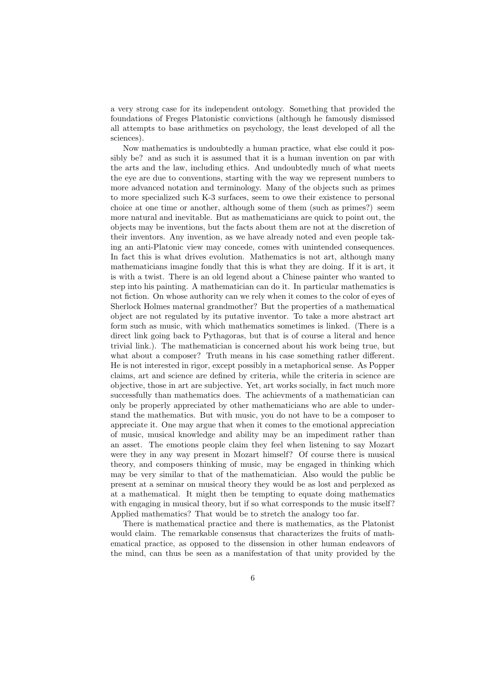a very strong case for its independent ontology. Something that provided the foundations of Freges Platonistic convictions (although he famously dismissed all attempts to base arithmetics on psychology, the least developed of all the sciences).

Now mathematics is undoubtedly a human practice, what else could it possibly be? and as such it is assumed that it is a human invention on par with the arts and the law, including ethics. And undoubtedly much of what meets the eye are due to conventions, starting with the way we represent numbers to more advanced notation and terminology. Many of the objects such as primes to more specialized such K-3 surfaces, seem to owe their existence to personal choice at one time or another, although some of them (such as primes?) seem more natural and inevitable. But as mathematicians are quick to point out, the objects may be inventions, but the facts about them are not at the discretion of their inventors. Any invention, as we have already noted and even people taking an anti-Platonic view may concede, comes with unintended consequences. In fact this is what drives evolution. Mathematics is not art, although many mathematicians imagine fondly that this is what they are doing. If it is art, it is with a twist. There is an old legend about a Chinese painter who wanted to step into his painting. A mathematician can do it. In particular mathematics is not fiction. On whose authority can we rely when it comes to the color of eyes of Sherlock Holmes maternal grandmother? But the properties of a mathematical object are not regulated by its putative inventor. To take a more abstract art form such as music, with which mathematics sometimes is linked. (There is a direct link going back to Pythagoras, but that is of course a literal and hence trivial link.). The mathematician is concerned about his work being true, but what about a composer? Truth means in his case something rather different. He is not interested in rigor, except possibly in a metaphorical sense. As Popper claims, art and science are defined by criteria, while the criteria in science are objective, those in art are subjective. Yet, art works socially, in fact much more successfully than mathematics does. The achievments of a mathematician can only be properly appreciated by other mathematicians who are able to understand the mathematics. But with music, you do not have to be a composer to appreciate it. One may argue that when it comes to the emotional appreciation of music, musical knowledge and ability may be an impediment rather than an asset. The emotions people claim they feel when listening to say Mozart were they in any way present in Mozart himself? Of course there is musical theory, and composers thinking of music, may be engaged in thinking which may be very similar to that of the mathematician. Also would the public be present at a seminar on musical theory they would be as lost and perplexed as at a mathematical. It might then be tempting to equate doing mathematics with engaging in musical theory, but if so what corresponds to the music itself? Applied mathematics? That would be to stretch the analogy too far.

There is mathematical practice and there is mathematics, as the Platonist would claim. The remarkable consensus that characterizes the fruits of mathematical practice, as opposed to the dissension in other human endeavors of the mind, can thus be seen as a manifestation of that unity provided by the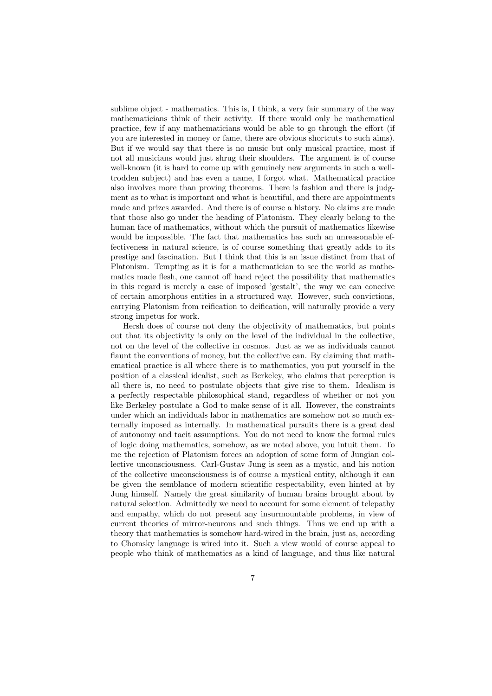sublime object - mathematics. This is, I think, a very fair summary of the way mathematicians think of their activity. If there would only be mathematical practice, few if any mathematicians would be able to go through the effort (if you are interested in money or fame, there are obvious shortcuts to such aims). But if we would say that there is no music but only musical practice, most if not all musicians would just shrug their shoulders. The argument is of course well-known (it is hard to come up with genuinely new arguments in such a welltrodden subject) and has even a name, I forgot what. Mathematical practice also involves more than proving theorems. There is fashion and there is judgment as to what is important and what is beautiful, and there are appointments made and prizes awarded. And there is of course a history. No claims are made that those also go under the heading of Platonism. They clearly belong to the human face of mathematics, without which the pursuit of mathematics likewise would be impossible. The fact that mathematics has such an unreasonable effectiveness in natural science, is of course something that greatly adds to its prestige and fascination. But I think that this is an issue distinct from that of Platonism. Tempting as it is for a mathematician to see the world as mathematics made flesh, one cannot off hand reject the possibility that mathematics in this regard is merely a case of imposed 'gestalt', the way we can conceive of certain amorphous entities in a structured way. However, such convictions, carrying Platonism from reification to deification, will naturally provide a very strong impetus for work.

Hersh does of course not deny the objectivity of mathematics, but points out that its objectivity is only on the level of the individual in the collective, not on the level of the collective in cosmos. Just as we as individuals cannot flaunt the conventions of money, but the collective can. By claiming that mathematical practice is all where there is to mathematics, you put yourself in the position of a classical idealist, such as Berkeley, who claims that perception is all there is, no need to postulate objects that give rise to them. Idealism is a perfectly respectable philosophical stand, regardless of whether or not you like Berkeley postulate a God to make sense of it all. However, the constraints under which an individuals labor in mathematics are somehow not so much externally imposed as internally. In mathematical pursuits there is a great deal of autonomy and tacit assumptions. You do not need to know the formal rules of logic doing mathematics, somehow, as we noted above, you intuit them. To me the rejection of Platonism forces an adoption of some form of Jungian collective unconsciousness. Carl-Gustav Jung is seen as a mystic, and his notion of the collective unconsciousness is of course a mystical entity, although it can be given the semblance of modern scientific respectability, even hinted at by Jung himself. Namely the great similarity of human brains brought about by natural selection. Admittedly we need to account for some element of telepathy and empathy, which do not present any insurmountable problems, in view of current theories of mirror-neurons and such things. Thus we end up with a theory that mathematics is somehow hard-wired in the brain, just as, according to Chomsky language is wired into it. Such a view would of course appeal to people who think of mathematics as a kind of language, and thus like natural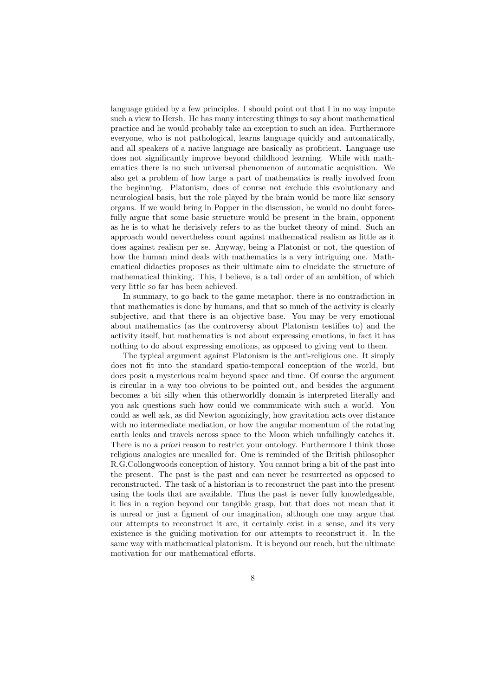language guided by a few principles. I should point out that I in no way impute such a view to Hersh. He has many interesting things to say about mathematical practice and he would probably take an exception to such an idea. Furthermore everyone, who is not pathological, learns language quickly and automatically, and all speakers of a native language are basically as proficient. Language use does not significantly improve beyond childhood learning. While with mathematics there is no such universal phenomenon of automatic acquisition. We also get a problem of how large a part of mathematics is really involved from the beginning. Platonism, does of course not exclude this evolutionary and neurological basis, but the role played by the brain would be more like sensory organs. If we would bring in Popper in the discussion, he would no doubt forcefully argue that some basic structure would be present in the brain, opponent as he is to what he derisively refers to as the bucket theory of mind. Such an approach would nevertheless count against mathematical realism as little as it does against realism per se. Anyway, being a Platonist or not, the question of how the human mind deals with mathematics is a very intriguing one. Mathematical didactics proposes as their ultimate aim to elucidate the structure of mathematical thinking. This, I believe, is a tall order of an ambition, of which very little so far has been achieved.

In summary, to go back to the game metaphor, there is no contradiction in that mathematics is done by humans, and that so much of the activity is clearly subjective, and that there is an objective base. You may be very emotional about mathematics (as the controversy about Platonism testifies to) and the activity itself, but mathematics is not about expressing emotions, in fact it has nothing to do about expressing emotions, as opposed to giving vent to them.

The typical argument against Platonism is the anti-religious one. It simply does not fit into the standard spatio-temporal conception of the world, but does posit a mysterious realm beyond space and time. Of course the argument is circular in a way too obvious to be pointed out, and besides the argument becomes a bit silly when this otherworldly domain is interpreted literally and you ask questions such how could we communicate with such a world. You could as well ask, as did Newton agonizingly, how gravitation acts over distance with no intermediate mediation, or how the angular momentum of the rotating earth leaks and travels across space to the Moon which unfailingly catches it. There is no a priori reason to restrict your ontology. Furthermore I think those religious analogies are uncalled for. One is reminded of the British philosopher R.G.Collongwoods conception of history. You cannot bring a bit of the past into the present. The past is the past and can never be resurrected as opposed to reconstructed. The task of a historian is to reconstruct the past into the present using the tools that are available. Thus the past is never fully knowledgeable, it lies in a region beyond our tangible grasp, but that does not mean that it is unreal or just a figment of our imagination, although one may argue that our attempts to reconstruct it are, it certainly exist in a sense, and its very existence is the guiding motivation for our attempts to reconstruct it. In the same way with mathematical platonism. It is beyond our reach, but the ultimate motivation for our mathematical efforts.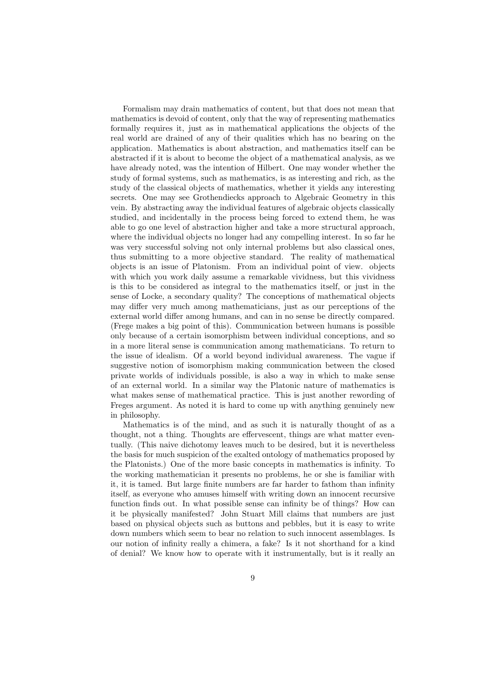Formalism may drain mathematics of content, but that does not mean that mathematics is devoid of content, only that the way of representing mathematics formally requires it, just as in mathematical applications the objects of the real world are drained of any of their qualities which has no bearing on the application. Mathematics is about abstraction, and mathematics itself can be abstracted if it is about to become the object of a mathematical analysis, as we have already noted, was the intention of Hilbert. One may wonder whether the study of formal systems, such as mathematics, is as interesting and rich, as the study of the classical objects of mathematics, whether it yields any interesting secrets. One may see Grothendiecks approach to Algebraic Geometry in this vein. By abstracting away the individual features of algebraic objects classically studied, and incidentally in the process being forced to extend them, he was able to go one level of abstraction higher and take a more structural approach, where the individual objects no longer had any compelling interest. In so far he was very successful solving not only internal problems but also classical ones, thus submitting to a more objective standard. The reality of mathematical objects is an issue of Platonism. From an individual point of view. objects with which you work daily assume a remarkable vividness, but this vividness is this to be considered as integral to the mathematics itself, or just in the sense of Locke, a secondary quality? The conceptions of mathematical objects may differ very much among mathematicians, just as our perceptions of the external world differ among humans, and can in no sense be directly compared. (Frege makes a big point of this). Communication between humans is possible only because of a certain isomorphism between individual conceptions, and so in a more literal sense is communication among mathematicians. To return to the issue of idealism. Of a world beyond individual awareness. The vague if suggestive notion of isomorphism making communication between the closed private worlds of individuals possible, is also a way in which to make sense of an external world. In a similar way the Platonic nature of mathematics is what makes sense of mathematical practice. This is just another rewording of Freges argument. As noted it is hard to come up with anything genuinely new in philosophy.

Mathematics is of the mind, and as such it is naturally thought of as a thought, not a thing. Thoughts are effervescent, things are what matter eventually. (This naive dichotomy leaves much to be desired, but it is nevertheless the basis for much suspicion of the exalted ontology of mathematics proposed by the Platonists.) One of the more basic concepts in mathematics is infinity. To the working mathematician it presents no problems, he or she is familiar with it, it is tamed. But large finite numbers are far harder to fathom than infinity itself, as everyone who amuses himself with writing down an innocent recursive function finds out. In what possible sense can infinity be of things? How can it be physically manifested? John Stuart Mill claims that numbers are just based on physical objects such as buttons and pebbles, but it is easy to write down numbers which seem to bear no relation to such innocent assemblages. Is our notion of infinity really a chimera, a fake? Is it not shorthand for a kind of denial? We know how to operate with it instrumentally, but is it really an